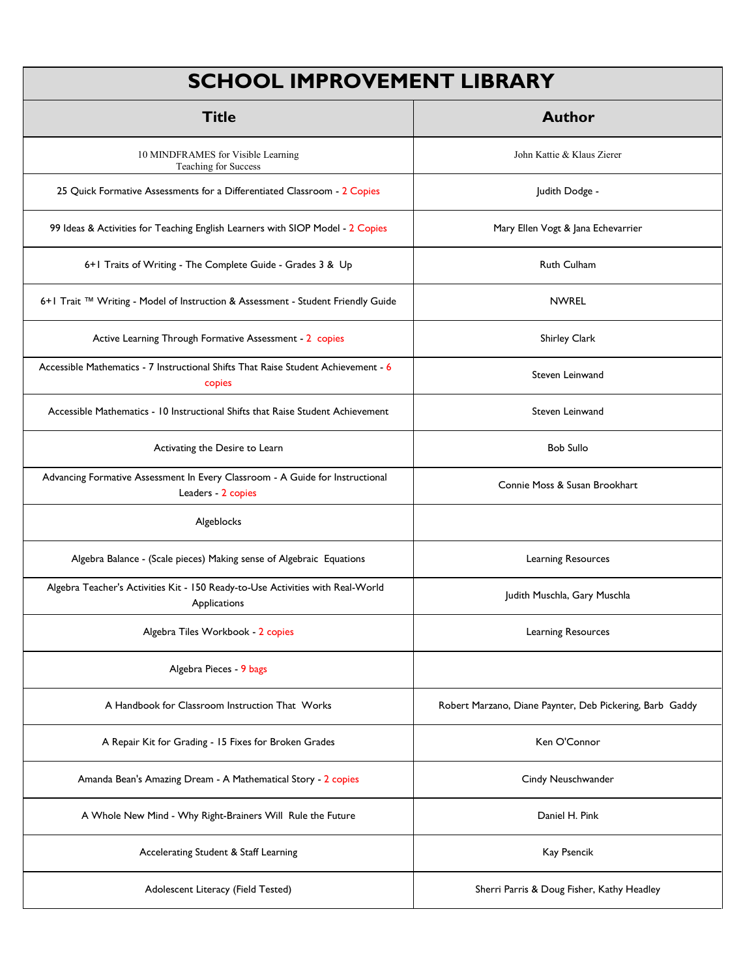| <b>SCHOOL IMPROVEMENT LIBRARY</b>                                                                 |                                                          |
|---------------------------------------------------------------------------------------------------|----------------------------------------------------------|
| <b>Title</b>                                                                                      | <b>Author</b>                                            |
| 10 MINDFRAMES for Visible Learning<br>Teaching for Success                                        | John Kattie & Klaus Zierer                               |
| 25 Quick Formative Assessments for a Differentiated Classroom - 2 Copies                          | Judith Dodge -                                           |
| 99 Ideas & Activities for Teaching English Learners with SIOP Model - 2 Copies                    | Mary Ellen Vogt & Jana Echevarrier                       |
| 6+1 Traits of Writing - The Complete Guide - Grades 3 & Up                                        | <b>Ruth Culham</b>                                       |
| 6+1 Trait ™ Writing - Model of Instruction & Assessment - Student Friendly Guide                  | <b>NWREL</b>                                             |
| Active Learning Through Formative Assessment - 2 copies                                           | Shirley Clark                                            |
| Accessible Mathematics - 7 Instructional Shifts That Raise Student Achievement - 6<br>copies      | Steven Leinwand                                          |
| Accessible Mathematics - 10 Instructional Shifts that Raise Student Achievement                   | Steven Leinwand                                          |
| Activating the Desire to Learn                                                                    | <b>Bob Sullo</b>                                         |
| Advancing Formative Assessment In Every Classroom - A Guide for Instructional<br>Leaders 2 copies | Connie Moss & Susan Brookhart                            |
| Algeblocks                                                                                        |                                                          |
| Algebra Balance - (Scale pieces) Making sense of Algebraic Equations                              | Learning Resources                                       |
| Algebra Teacher's Activities Kit - 150 Ready-to-Use Activities with Real-World<br>Applications    | Judith Muschla, Gary Muschla                             |
| Algebra Tiles Workbook - 2 copies                                                                 | Learning Resources                                       |
| Algebra Pieces 9 bags                                                                             |                                                          |
| A Handbook for Classroom Instruction That Works                                                   | Robert Marzano, Diane Paynter, Deb Pickering, Barb Gaddy |
| A Repair Kit for Grading - 15 Fixes for Broken Grades                                             | Ken O'Connor                                             |
| Amanda Bean's Amazing Dream - A Mathematical Story - 2 copies                                     | Cindy Neuschwander                                       |
| A Whole New Mind - Why Right-Brainers Will Rule the Future                                        | Daniel H. Pink                                           |
| Accelerating Student & Staff Learning                                                             | Kay Psencik                                              |
| Adolescent Literacy (Field Tested)                                                                | Sherri Parris & Doug Fisher, Kathy Headley               |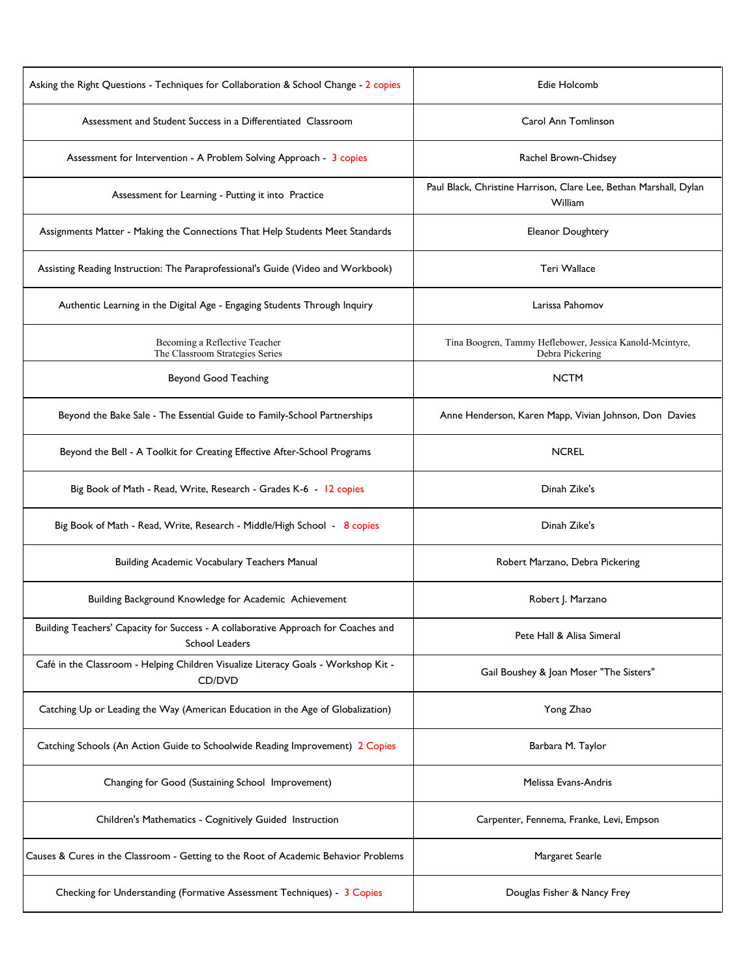| Asking the Right Questions - Techniques for Collaboration & School Change - 2 copies                        | Edie Holcomb                                                                 |
|-------------------------------------------------------------------------------------------------------------|------------------------------------------------------------------------------|
| Assessment and Student Success in a Differentiated Classroom                                                | Carol Ann Tomlinson                                                          |
| Assessment for Intervention - A Problem Solving Approach - 3 copies                                         | Rachel Brown-Chidsey                                                         |
| Assessment for Learning - Putting it into Practice                                                          | Paul Black, Christine Harrison, Clare Lee, Bethan Marshall, Dylan<br>William |
| Assignments Matter - Making the Connections That Help Students Meet Standards                               | Eleanor Doughtery                                                            |
| Assisting Reading Instruction: The Paraprofessional's Guide (Video and Workbook)                            | <b>Teri Wallace</b>                                                          |
| Authentic Learning in the Digital Age - Engaging Students Through Inquiry                                   | Larissa Pahomov                                                              |
| Becoming a Reflective Teacher<br>The Classroom Strategies Series                                            | Tina Boogren, Tammy Heflebower, Jessica Kanold-Mcintyre,<br>Debra Pickering  |
| Beyond Good Teaching                                                                                        | <b>NCTM</b>                                                                  |
| Beyond the Bake Sale - The Essential Guide to Family-School Partnerships                                    | Anne Henderson, Karen Mapp, Vivian Johnson, Don Davies                       |
| Beyond the Bell - A Toolkit for Creating Effective After-School Programs                                    | <b>NCREL</b>                                                                 |
| Big Book of Math - Read, Write, Research - Grades K-6 - 12 copies                                           | Dinah Zike's                                                                 |
| Big Book of Math - Read, Write, Research - Middle/High School - 8 copies                                    | Dinah Zike's                                                                 |
| Building Academic Vocabulary Teachers Manual                                                                | Robert Marzano, Debra Pickering                                              |
| Building Background Knowledge for Academic Achievement                                                      | Robert J. Marzano                                                            |
| Building Teachers' Capacity for Success - A collaborative Approach for Coaches and<br><b>School Leaders</b> | Pete Hall & Alisa Simeral                                                    |
| Café in the Classroom - Helping Children Visualize Literacy Goals - Workshop Kit -<br>CD/DVD                | Gail Boushey & Joan Moser "The Sisters"                                      |
| Catching Up or Leading the Way (American Education in the Age of Globalization)                             | Yong Zhao                                                                    |
| Catching Schools (An Action Guide to Schoolwide Reading Improvement) 2 Copies                               | Barbara M. Taylor                                                            |
| Changing for Good (Sustaining School Improvement)                                                           | Melissa Evans-Andris                                                         |
| Children's Mathematics - Cognitively Guided Instruction                                                     | Carpenter, Fennema, Franke, Levi, Empson                                     |
| Causes & Cures in the Classroom - Getting to the Root of Academic Behavior Problems                         | Margaret Searle                                                              |
| Checking for Understanding (Formative Assessment Techniques) 3 Copies                                       | Douglas Fisher & Nancy Frey                                                  |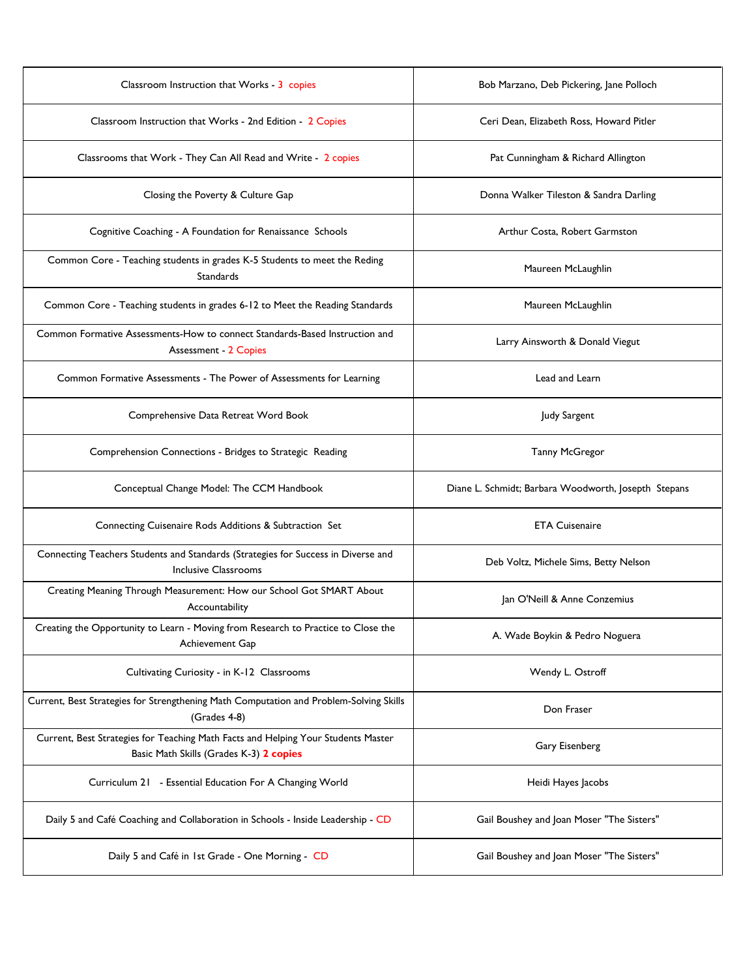| Classroom Instruction that Works 3 copies                                                                                    | Bob Marzano, Deb Pickering, Jane Polloch             |
|------------------------------------------------------------------------------------------------------------------------------|------------------------------------------------------|
| Classroom Instruction that Works - 2nd Edition - 2 Copies                                                                    | Ceri Dean, Elizabeth Ross, Howard Pitler             |
| Classrooms that Work - They Can All Read and Write - 2 copies                                                                | Pat Cunningham & Richard Allington                   |
| Closing the Poverty & Culture Gap                                                                                            | Donna Walker Tileston & Sandra Darling               |
| Cognitive Coaching - A Foundation for Renaissance Schools                                                                    | Arthur Costa, Robert Garmston                        |
| Common Core - Teaching students in grades K-5 Students to meet the Reding<br><b>Standards</b>                                | Maureen McLaughlin                                   |
| Common Core - Teaching students in grades 6-12 to Meet the Reading Standards                                                 | Maureen McLaughlin                                   |
| Common Formative Assessments-How to connect Standards-Based Instruction and<br><b>Assessment - 2 Copies</b>                  | Larry Ainsworth & Donald Viegut                      |
| Common Formative Assessments - The Power of Assessments for Learning                                                         | Lead and Learn                                       |
| Comprehensive Data Retreat Word Book                                                                                         | Judy Sargent                                         |
| Comprehension Connections - Bridges to Strategic Reading                                                                     | Tanny McGregor                                       |
|                                                                                                                              |                                                      |
| Conceptual Change Model: The CCM Handbook                                                                                    | Diane L. Schmidt; Barbara Woodworth, Josepth Stepans |
| Connecting Cuisenaire Rods Additions & Subtraction Set                                                                       | <b>ETA Cuisenaire</b>                                |
| Connecting Teachers Students and Standards (Strategies for Success in Diverse and<br>Inclusive Classrooms                    | Deb Voltz, Michele Sims, Betty Nelson                |
| Creating Meaning Through Measurement: How our School Got SMART About<br>Accountability                                       | Jan O'Neill & Anne Conzemius                         |
| Creating the Opportunity to Learn - Moving from Research to Practice to Close the<br>Achievement Gap                         | A. Wade Boykin & Pedro Noguera                       |
| Cultivating Curiosity - in K-12 Classrooms                                                                                   | Wendy L. Ostroff                                     |
| Current, Best Strategies for Strengthening Math Computation and Problem-Solving Skills<br>$(Grades 4-8)$                     | Don Fraser                                           |
| Current, Best Strategies for Teaching Math Facts and Helping Your Students Master<br>Basic Math Skills (Grades K-3) 2 copies | Gary Eisenberg                                       |
| Curriculum 21 - Essential Education For A Changing World                                                                     | Heidi Hayes Jacobs                                   |
| Daily 5 and Café Coaching and Collaboration in Schools - Inside Leadership - CD                                              | Gail Boushey and Joan Moser "The Sisters"            |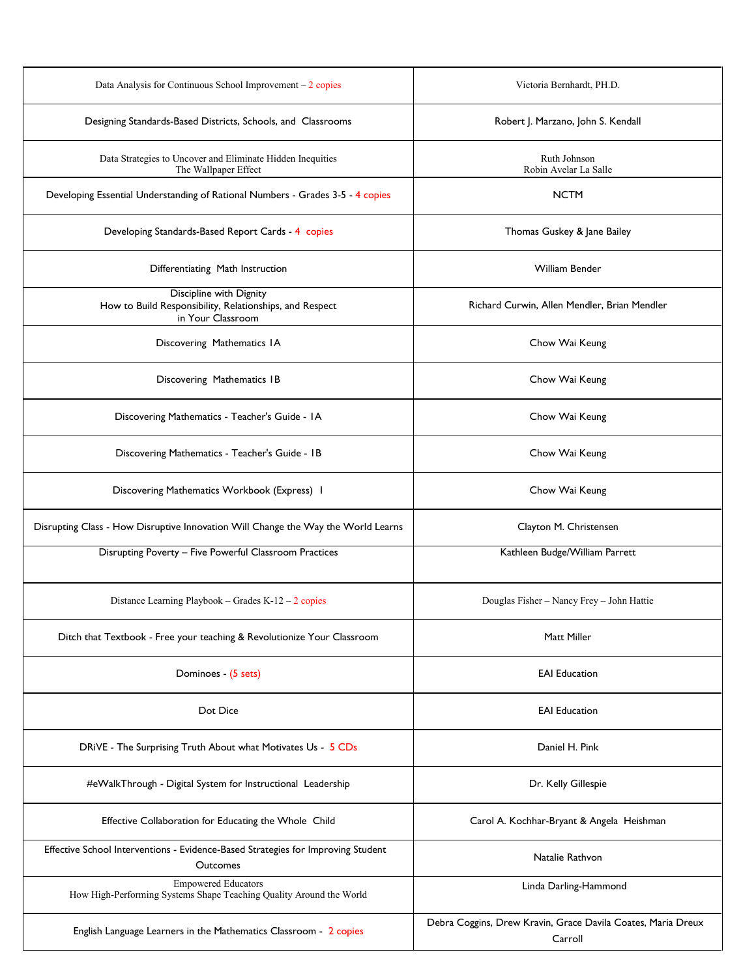| Data Analysis for Continuous School Improvement $-2$ copies                                             | Victoria Bernhardt, PH.D.                                    |
|---------------------------------------------------------------------------------------------------------|--------------------------------------------------------------|
| Designing Standards-Based Districts, Schools, and Classrooms                                            | Robert J. Marzano, John S. Kendall                           |
| Data Strategies to Uncover and Eliminate Hidden Inequities<br>The Wallpaper Effect                      | Ruth Johnson<br>Robin Avelar La Salle                        |
| Developing Essential Understanding of Rational Numbers - Grades 3-5 - 4 copies                          | <b>NCTM</b>                                                  |
| Developing Standards-Based Report Cards - 4 copies                                                      | Thomas Guskey & Jane Bailey                                  |
| Differentiating Math Instruction                                                                        | <b>William Bender</b>                                        |
| Discipline with Dignity<br>How to Build Responsibility, Relationships, and Respect<br>in Your Classroom | Richard Curwin, Allen Mendler, Brian Mendler                 |
| Discovering Mathematics IA                                                                              | Chow Wai Keung                                               |
| Discovering Mathematics IB                                                                              | Chow Wai Keung                                               |
| Discovering Mathematics - Teacher's Guide - IA                                                          | Chow Wai Keung                                               |
| Discovering Mathematics - Teacher's Guide - IB                                                          | Chow Wai Keung                                               |
| Discovering Mathematics Workbook (Express) 1                                                            | Chow Wai Keung                                               |
| Disrupting Class - How Disruptive Innovation Will Change the Way the World Learns                       | Clayton M. Christensen                                       |
| Disrupting Poverty - Five Powerful Classroom Practices                                                  | Kathleen Budge/William Parrett                               |
| Distance Learning Playbook – Grades K-12 – 2 copies                                                     | Douglas Fisher - Nancy Frey - John Hattie                    |
| Ditch that Textbook - Free your teaching & Revolutionize Your Classroom                                 | Matt Miller                                                  |
| Dominoes - (5 sets)                                                                                     | <b>EAI Education</b>                                         |
| Dot Dice                                                                                                | <b>EAI Education</b>                                         |
| DRIVE - The Surprising Truth About what Motivates Us - 5 CDs                                            | Daniel H. Pink                                               |
| #eWalkThrough - Digital System for Instructional Leadership                                             | Dr. Kelly Gillespie                                          |
| Effective Collaboration for Educating the Whole Child                                                   | Carol A. Kochhar-Bryant & Angela Heishman                    |
| Effective School Interventions - Evidence-Based Strategies for Improving Student<br>Outcomes            | Natalie Rathvon                                              |
| <b>Empowered Educators</b><br>How High-Performing Systems Shape Teaching Quality Around the World       | Linda Darling-Hammond                                        |
| English Language Learners in the Mathematics Classroom - 2 copies                                       | Debra Coggins, Drew Kravin, Grace Davila Coates, Maria Dreux |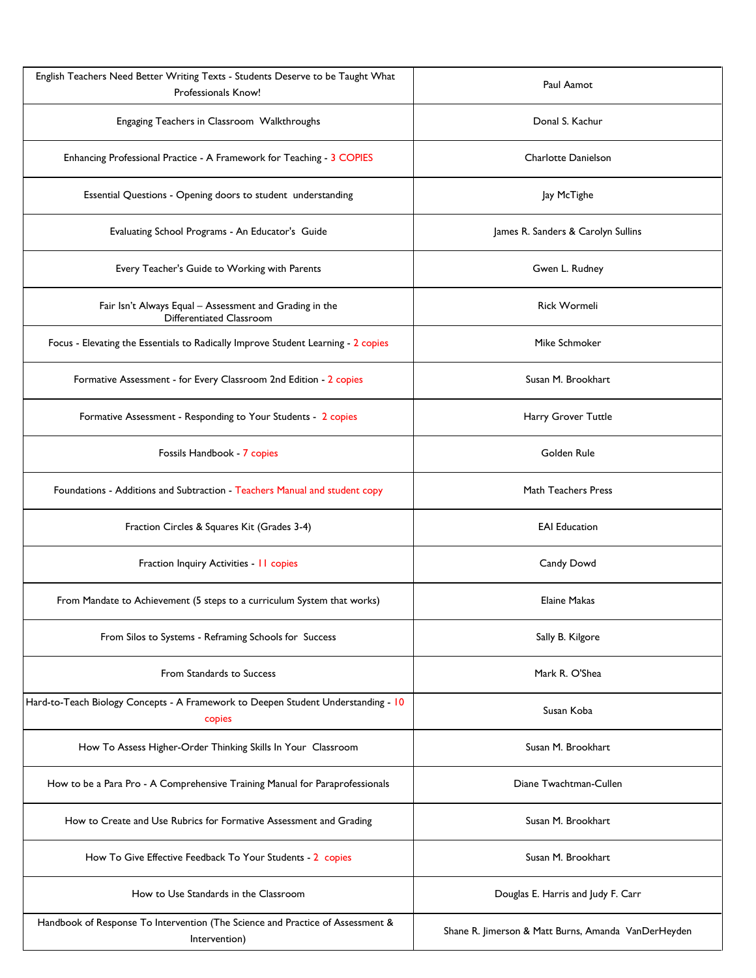| English Teachers Need Better Writing Texts - Students Deserve to be Taught What<br>Professionals Know! | Paul Aamot                                          |
|--------------------------------------------------------------------------------------------------------|-----------------------------------------------------|
| Engaging Teachers in Classroom Walkthroughs                                                            | Donal S. Kachur                                     |
| Enhancing Professional Practice - A Framework for Teaching - 3 COPIES                                  | Charlotte Danielson                                 |
| Essential Questions - Opening doors to student understanding                                           | Jay McTighe                                         |
| Evaluating School Programs - An Educator's Guide                                                       | James R. Sanders & Carolyn Sullins                  |
| Every Teacher's Guide to Working with Parents                                                          | Gwen L. Rudney                                      |
| Fair Isn't Always Equal - Assessment and Grading in the<br>Differentiated Classroom                    | Rick Wormeli                                        |
| Focus - Elevating the Essentials to Radically Improve Student Learning - 2 copies                      | Mike Schmoker                                       |
| Formative Assessment - for Every Classroom 2nd Edition - 2 copies                                      | Susan M. Brookhart                                  |
| Formative Assessment - Responding to Your Students - 2 copies                                          | Harry Grover Tuttle                                 |
| Fossils Handbook - 7 copies                                                                            | Golden Rule                                         |
| Foundations - Additions and Subtraction - Teachers Manual and student copy                             | Math Teachers Press                                 |
| Fraction Circles & Squares Kit (Grades 3-4)                                                            | <b>EAI</b> Education                                |
| Fraction Inquiry Activities - 11 copies                                                                | Candy Dowd                                          |
| From Mandate to Achievement (5 steps to a curriculum System that works)                                | <b>Elaine Makas</b>                                 |
| From Silos to Systems - Reframing Schools for Success                                                  | Sally B. Kilgore                                    |
| From Standards to Success                                                                              | Mark R. O'Shea                                      |
| Hard-to-Teach Biology Concepts - A Framework to Deepen Student Understanding - 10<br>copies            | Susan Koba                                          |
| How To Assess Higher-Order Thinking Skills In Your Classroom                                           | Susan M. Brookhart                                  |
| How to be a Para Pro - A Comprehensive Training Manual for Paraprofessionals                           | Diane Twachtman-Cullen                              |
| How to Create and Use Rubrics for Formative Assessment and Grading                                     | Susan M. Brookhart                                  |
| How To Give Effective Feedback To Your Students 2 copies                                               | Susan M. Brookhart                                  |
| How to Use Standards in the Classroom                                                                  | Douglas E. Harris and Judy F. Carr                  |
| Handbook of Response To Intervention (The Science and Practice of Assessment &<br>Intervention)        | Shane R. Jimerson & Matt Burns, Amanda VanDerHeyden |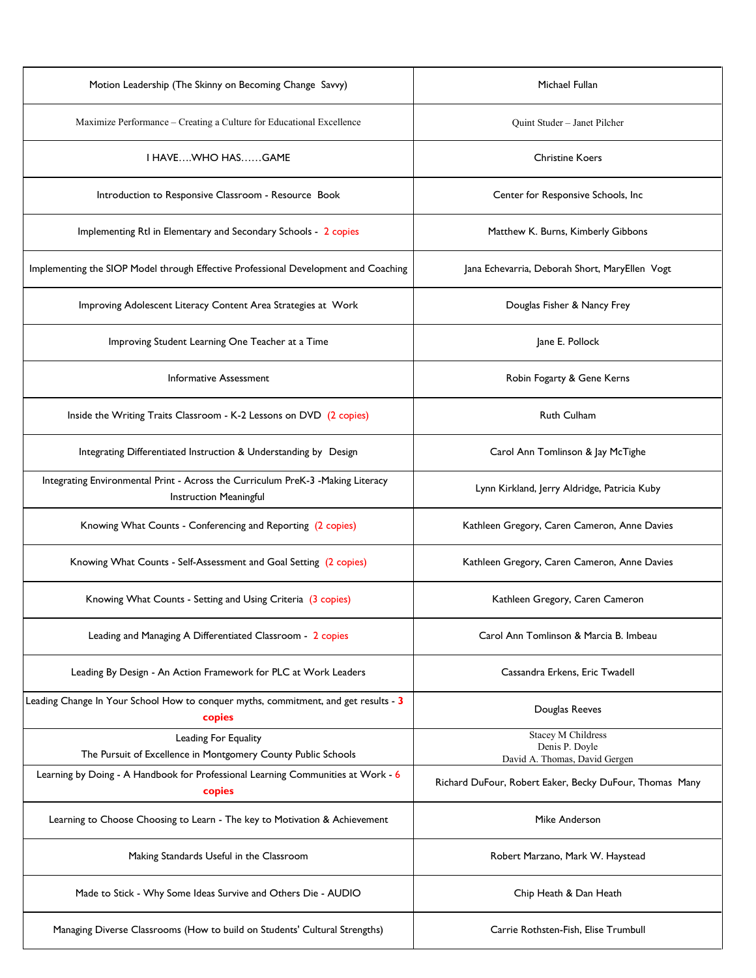| Motion Leadership (The Skinny on Becoming Change Savvy)                                                    | Michael Fullan                                          |
|------------------------------------------------------------------------------------------------------------|---------------------------------------------------------|
| Maximize Performance - Creating a Culture for Educational Excellence                                       | Quint Studer - Janet Pilcher                            |
| I HAVEWHO HASGAME                                                                                          | <b>Christine Koers</b>                                  |
| Introduction to Responsive Classroom - Resource Book                                                       | Center for Responsive Schools, Inc                      |
| Implementing Rtl in Elementary and Secondary Schools - 2 copies                                            | Matthew K. Burns, Kimberly Gibbons                      |
| Implementing the SIOP Model through Effective Professional Development and Coaching                        | Jana Echevarria, Deborah Short, MaryEllen Vogt          |
| Improving Adolescent Literacy Content Area Strategies at Work                                              | Douglas Fisher & Nancy Frey                             |
| Improving Student Learning One Teacher at a Time                                                           | Jane E. Pollock                                         |
| <b>Informative Assessment</b>                                                                              | Robin Fogarty & Gene Kerns                              |
| Inside the Writing Traits Classroom - K-2 Lessons on DVD (2 copies)                                        | <b>Ruth Culham</b>                                      |
| Integrating Differentiated Instruction & Understanding by Design                                           | Carol Ann Tomlinson & Jay McTighe                       |
| Integrating Environmental Print - Across the Curriculum PreK-3 - Making Literacy<br>Instruction Meaningful | Lynn Kirkland, Jerry Aldridge, Patricia Kuby            |
| Knowing What Counts - Conferencing and Reporting (2 copies)                                                | Kathleen Gregory, Caren Cameron, Anne Davies            |
| Knowing What Counts - Self-Assessment and Goal Setting (2 copies)                                          | Kathleen Gregory, Caren Cameron, Anne Davies            |
| Knowing What Counts - Setting and Using Criteria (3 copies)                                                | Kathleen Gregory, Caren Cameron                         |
| Leading and Managing A Differentiated Classroom - 2 copies                                                 | Carol Ann Tomlinson & Marcia B. Imbeau                  |
| Leading By Design - An Action Framework for PLC at Work Leaders                                            | Cassandra Erkens, Eric Twadell                          |
| Leading Change In Your School How to conquer myths, commitment, and get results - 3<br>copies              | Douglas Reeves                                          |
| Leading For Equality                                                                                       | <b>Stacey M Childress</b>                               |
| The Pursuit of Excellence in Montgomery County Public Schools                                              | Denis P. Doyle<br>David A. Thomas, David Gergen         |
| Learning by Doing - A Handbook for Professional Learning Communities at Work - 6<br>copies                 | Richard DuFour, Robert Eaker, Becky DuFour, Thomas Many |
| Learning to Choose Choosing to Learn - The key to Motivation & Achievement                                 | Mike Anderson                                           |
| Making Standards Useful in the Classroom                                                                   | Robert Marzano, Mark W. Haystead                        |
| Made to Stick - Why Some Ideas Survive and Others Die - AUDIO                                              | Chip Heath & Dan Heath                                  |
| Managing Diverse Classrooms (How to build on Students' Cultural Strengths)                                 | Carrie Rothsten-Fish, Elise Trumbull                    |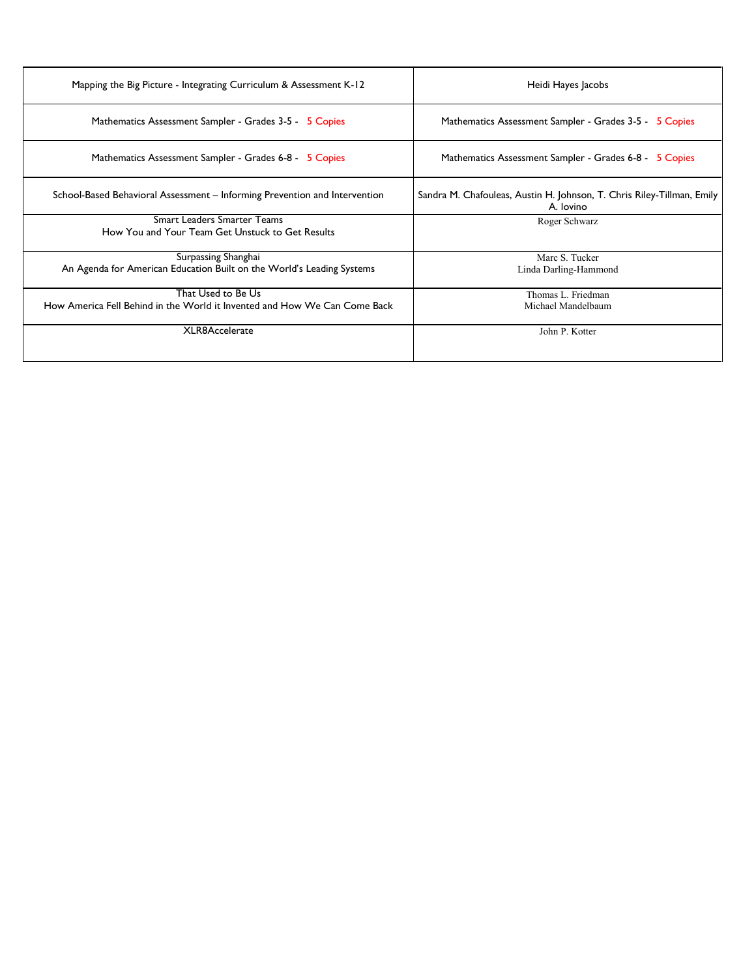| Mapping the Big Picture - Integrating Curriculum & Assessment K-12                              | Heidi Hayes Jacobs                                                                  |
|-------------------------------------------------------------------------------------------------|-------------------------------------------------------------------------------------|
| Mathematics Assessment Sampler - Grades 3-5 - 5 Copies                                          | Mathematics Assessment Sampler - Grades 3-5 - 5 Copies                              |
| Mathematics Assessment Sampler - Grades 6-8 - 5 Copies                                          | Mathematics Assessment Sampler - Grades 6-8 - 5 Copies                              |
| School-Based Behavioral Assessment – Informing Prevention and Intervention                      | Sandra M. Chafouleas, Austin H. Johnson, T. Chris Riley-Tillman, Emily<br>A. Iovino |
| <b>Smart Leaders Smarter Teams</b><br>How You and Your Team Get Unstuck to Get Results          | Roger Schwarz                                                                       |
| Surpassing Shanghai<br>An Agenda for American Education Built on the World's Leading Systems    | Marc S. Tucker<br>Linda Darling-Hammond                                             |
| That Used to Be Us<br>How America Fell Behind in the World it Invented and How We Can Come Back | Thomas L. Friedman<br>Michael Mandelbaum                                            |
| <b>XLR8Accelerate</b>                                                                           | John P. Kotter                                                                      |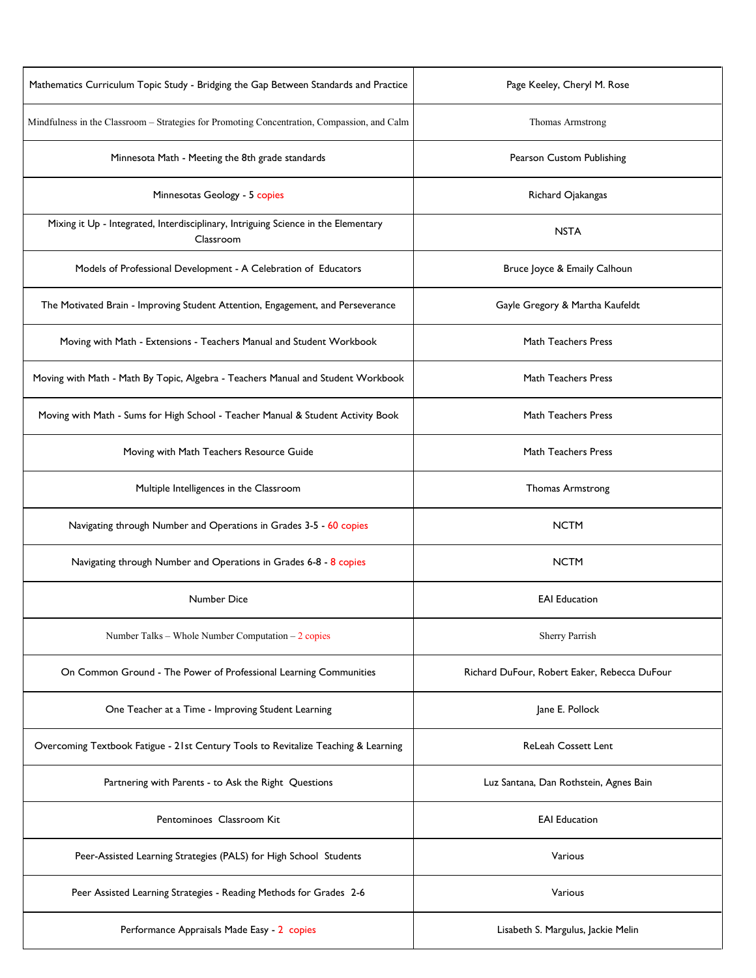| Mathematics Curriculum Topic Study - Bridging the Gap Between Standards and Practice            | Page Keeley, Cheryl M. Rose                  |
|-------------------------------------------------------------------------------------------------|----------------------------------------------|
| Mindfulness in the Classroom - Strategies for Promoting Concentration, Compassion, and Calm     | Thomas Armstrong                             |
| Minnesota Math - Meeting the 8th grade standards                                                | Pearson Custom Publishing                    |
| Minnesotas Geology - 5 copies                                                                   | Richard Ojakangas                            |
| Mixing it Up - Integrated, Interdisciplinary, Intriguing Science in the Elementary<br>Classroom | <b>NSTA</b>                                  |
| Models of Professional Development - A Celebration of Educators                                 | Bruce Joyce & Emaily Calhoun                 |
| The Motivated Brain - Improving Student Attention, Engagement, and Perseverance                 | Gayle Gregory & Martha Kaufeldt              |
| Moving with Math - Extensions - Teachers Manual and Student Workbook                            | Math Teachers Press                          |
| Moving with Math - Math By Topic, Algebra - Teachers Manual and Student Workbook                | <b>Math Teachers Press</b>                   |
| Moving with Math - Sums for High School - Teacher Manual & Student Activity Book                | Math Teachers Press                          |
| Moving with Math Teachers Resource Guide                                                        | Math Teachers Press                          |
| Multiple Intelligences in the Classroom                                                         | <b>Thomas Armstrong</b>                      |
| Navigating through Number and Operations in Grades 3-5 - 60 copies                              | <b>NCTM</b>                                  |
| Navigating through Number and Operations in Grades 6-8 - 8 copies                               | <b>NCTM</b>                                  |
| Number Dice                                                                                     | <b>EAI Education</b>                         |
| Number Talks – Whole Number Computation – $2$ copies                                            | Sherry Parrish                               |
| On Common Ground - The Power of Professional Learning Communities                               | Richard DuFour, Robert Eaker, Rebecca DuFour |
| One Teacher at a Time - Improving Student Learning                                              | Jane E. Pollock                              |
| Overcoming Textbook Fatigue - 21st Century Tools to Revitalize Teaching & Learning              | ReLeah Cossett Lent                          |
| Partnering with Parents - to Ask the Right Questions                                            | Luz Santana, Dan Rothstein, Agnes Bain       |
| Pentominoes Classroom Kit                                                                       | <b>EAI Education</b>                         |
| Peer-Assisted Learning Strategies (PALS) for High School Students                               | Various                                      |
| Peer Assisted Learning Strategies - Reading Methods for Grades 2-6                              | Various                                      |
| Performance Appraisals Made Easy 2 copies                                                       | Lisabeth S. Margulus, Jackie Melin           |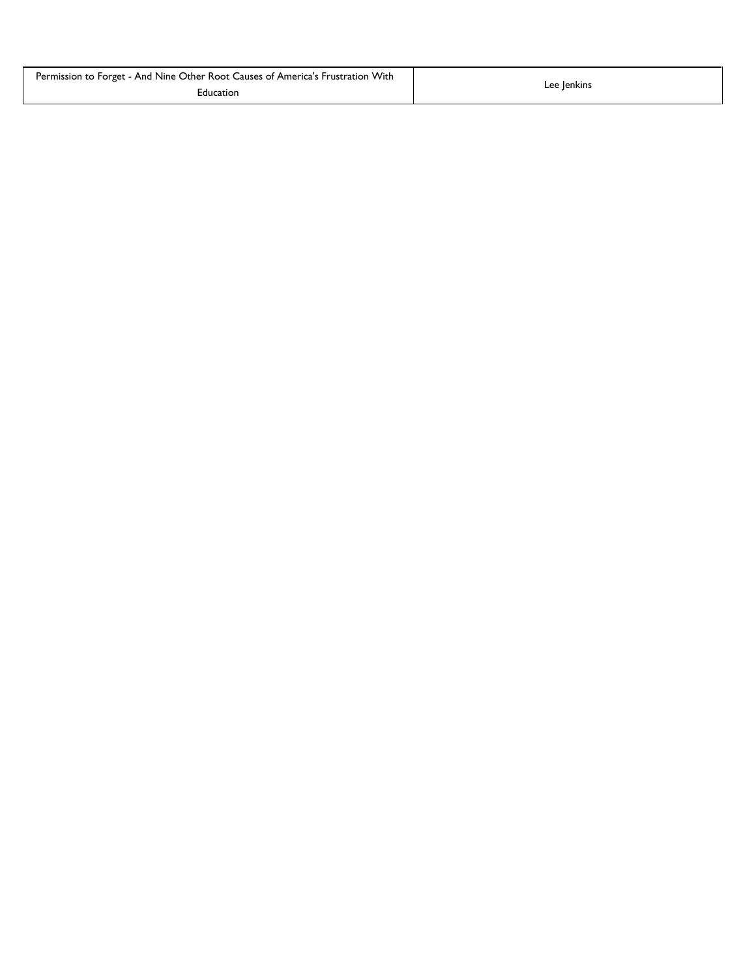| Permission to Forget - And Nine Other Root Causes of America's Frustration With |             |
|---------------------------------------------------------------------------------|-------------|
| Education                                                                       | Lee Jenkins |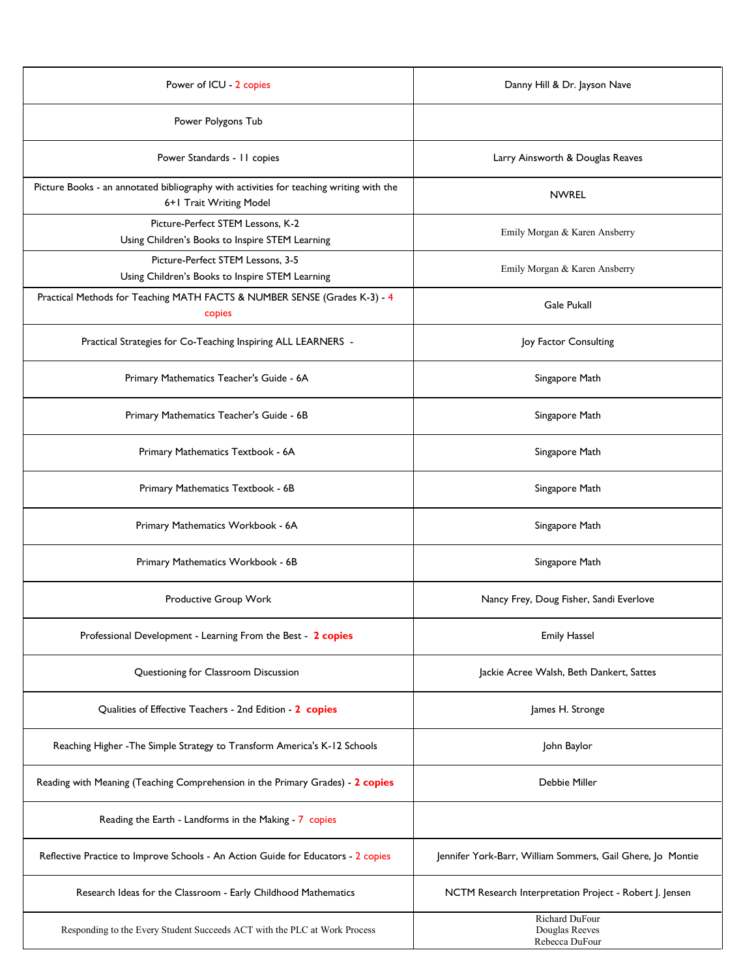| Power of ICU - 2 copies                                                                                            | Danny Hill & Dr. Jayson Nave                               |
|--------------------------------------------------------------------------------------------------------------------|------------------------------------------------------------|
| Power Polygons Tub                                                                                                 |                                                            |
| Power Standards - 11 copies                                                                                        | Larry Ainsworth & Douglas Reaves                           |
| Picture Books - an annotated bibliography with activities for teaching writing with the<br>6+1 Trait Writing Model | <b>NWREL</b>                                               |
| Picture-Perfect STEM Lessons, K-2<br>Using Children's Books to Inspire STEM Learning                               | Emily Morgan & Karen Ansberry                              |
| Picture-Perfect STEM Lessons, 3-5<br>Using Children's Books to Inspire STEM Learning                               | Emily Morgan & Karen Ansberry                              |
| Practical Methods for Teaching MATH FACTS & NUMBER SENSE (Grades K-3) - 4<br>copies                                | <b>Gale Pukall</b>                                         |
| Practical Strategies for Co-Teaching Inspiring ALL LEARNERS -                                                      | Joy Factor Consulting                                      |
| Primary Mathematics Teacher's Guide - 6A                                                                           | Singapore Math                                             |
| Primary Mathematics Teacher's Guide - 6B                                                                           | Singapore Math                                             |
| Primary Mathematics Textbook - 6A                                                                                  | Singapore Math                                             |
| Primary Mathematics Textbook - 6B                                                                                  | Singapore Math                                             |
| Primary Mathematics Workbook - 6A                                                                                  | Singapore Math                                             |
| Primary Mathematics Workbook - 6B                                                                                  | Singapore Math                                             |
| Productive Group Work                                                                                              | Nancy Frey, Doug Fisher, Sandi Everlove                    |
| Professional Development - Learning From the Best - 2 copies                                                       | <b>Emily Hassel</b>                                        |
| Questioning for Classroom Discussion                                                                               | Jackie Acree Walsh, Beth Dankert, Sattes                   |
| Qualities of Effective Teachers - 2nd Edition - 2 copies                                                           | James H. Stronge                                           |
| Reaching Higher - The Simple Strategy to Transform America's K-12 Schools                                          | John Baylor                                                |
| Reading with Meaning (Teaching Comprehension in the Primary Grades) - 2 copies                                     | Debbie Miller                                              |
| Reading the Earth - Landforms in the Making - 7 copies                                                             |                                                            |
| Reflective Practice to Improve Schools - An Action Guide for Educators - 2 copies                                  | Jennifer York-Barr, William Sommers, Gail Ghere, Jo Montie |
| Research Ideas for the Classroom - Early Childhood Mathematics                                                     | NCTM Research Interpretation Project - Robert J. Jensen    |
| Responding to the Every Student Succeeds ACT with the PLC at Work Process                                          | Richard DuFour<br>Douglas Reeves<br>Rebecca DuFour         |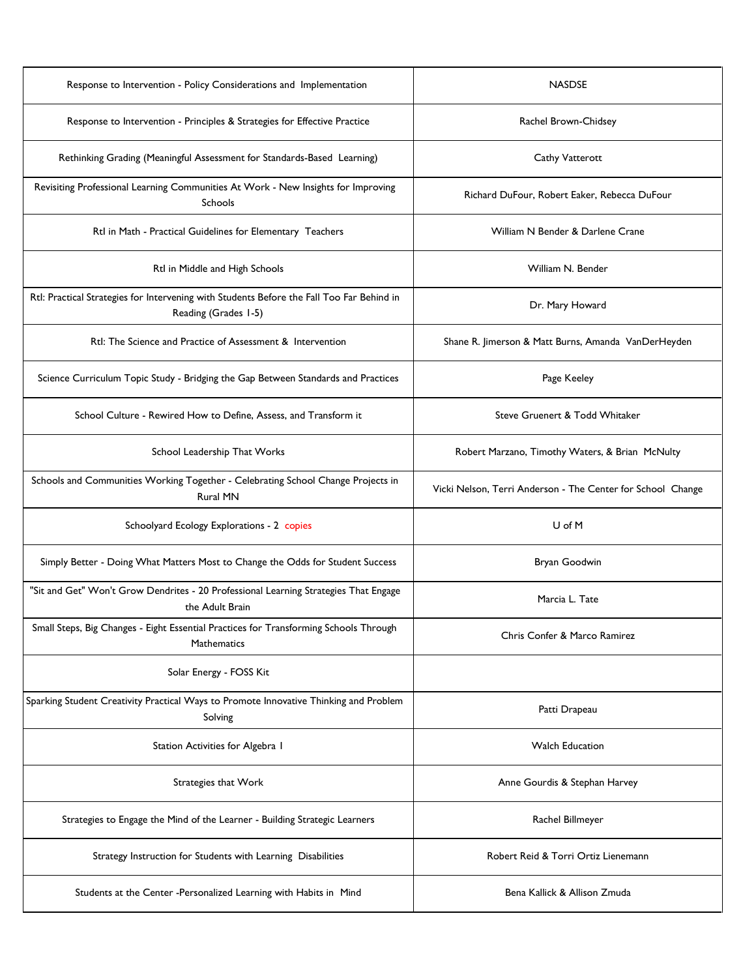| Response to Intervention - Policy Considerations and Implementation                                               | <b>NASDSE</b>                                               |
|-------------------------------------------------------------------------------------------------------------------|-------------------------------------------------------------|
| Response to Intervention - Principles & Strategies for Effective Practice                                         | Rachel Brown-Chidsey                                        |
| Rethinking Grading (Meaningful Assessment for Standards-Based Learning)                                           | Cathy Vatterott                                             |
| Revisiting Professional Learning Communities At Work - New Insights for Improving<br><b>Schools</b>               | Richard DuFour, Robert Eaker, Rebecca DuFour                |
| Rtl in Math - Practical Guidelines for Elementary Teachers                                                        | William N Bender & Darlene Crane                            |
| Rtl in Middle and High Schools                                                                                    | William N. Bender                                           |
| Rtl: Practical Strategies for Intervening with Students Before the Fall Too Far Behind in<br>Reading (Grades 1-5) | Dr. Mary Howard                                             |
| Rtl: The Science and Practice of Assessment & Intervention                                                        | Shane R. Jimerson & Matt Burns, Amanda VanDerHeyden         |
| Science Curriculum Topic Study - Bridging the Gap Between Standards and Practices                                 | Page Keeley                                                 |
| School Culture - Rewired How to Define, Assess, and Transform it                                                  | Steve Gruenert & Todd Whitaker                              |
| School Leadership That Works                                                                                      | Robert Marzano, Timothy Waters, & Brian McNulty             |
| Schools and Communities Working Together - Celebrating School Change Projects in<br><b>Rural MN</b>               | Vicki Nelson, Terri Anderson - The Center for School Change |
| Schoolyard Ecology Explorations - 2 copies                                                                        | U of M                                                      |
| Simply Better - Doing What Matters Most to Change the Odds for Student Success                                    | Bryan Goodwin                                               |
| "Sit and Get" Won't Grow Dendrites - 20 Professional Learning Strategies That Engage<br>the Adult Brain           | Marcia L. Tate                                              |
| Small Steps, Big Changes - Eight Essential Practices for Transforming Schools Through<br><b>Mathematics</b>       | Chris Confer & Marco Ramirez                                |
| Solar Energy - FOSS Kit                                                                                           |                                                             |
| Sparking Student Creativity Practical Ways to Promote Innovative Thinking and Problem<br>Solving                  | Patti Drapeau                                               |
| Station Activities for Algebra I                                                                                  | <b>Walch Education</b>                                      |
| Strategies that Work                                                                                              | Anne Gourdis & Stephan Harvey                               |
| Strategies to Engage the Mind of the Learner - Building Strategic Learners                                        | Rachel Billmeyer                                            |
| Strategy Instruction for Students with Learning Disabilities                                                      | Robert Reid & Torri Ortiz Lienemann                         |
| Students at the Center -Personalized Learning with Habits in Mind                                                 | Bena Kallick & Allison Zmuda                                |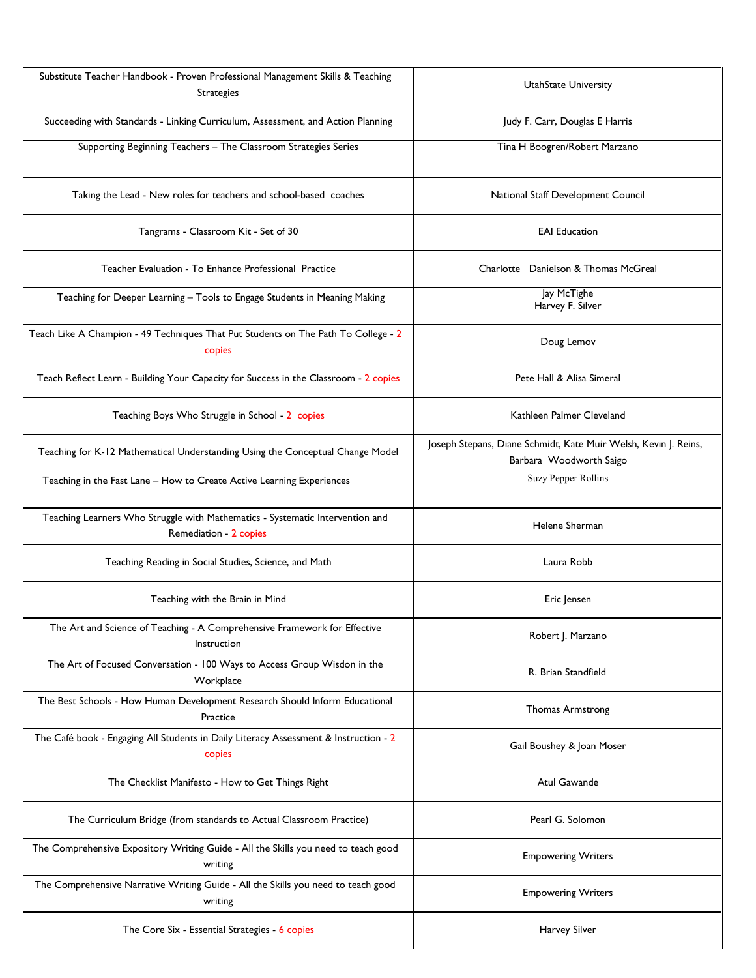| Substitute Teacher Handbook - Proven Professional Management Skills & Teaching<br><b>Strategies</b>     | UtahState University                                                                       |
|---------------------------------------------------------------------------------------------------------|--------------------------------------------------------------------------------------------|
| Succeeding with Standards - Linking Curriculum, Assessment, and Action Planning                         | Judy F. Carr, Douglas E Harris                                                             |
| Supporting Beginning Teachers - The Classroom Strategies Series                                         | Tina H Boogren/Robert Marzano                                                              |
| Taking the Lead - New roles for teachers and school-based coaches                                       | National Staff Development Council                                                         |
| Tangrams - Classroom Kit - Set of 30                                                                    | <b>EAI Education</b>                                                                       |
| Teacher Evaluation - To Enhance Professional Practice                                                   | Charlotte Danielson & Thomas McGreal                                                       |
| Teaching for Deeper Learning - Tools to Engage Students in Meaning Making                               | Jay McTighe<br>Harvey F. Silver                                                            |
| Teach Like A Champion - 49 Techniques That Put Students on The Path To College - 2<br>copies            | Doug Lemov                                                                                 |
| Teach Reflect Learn - Building Your Capacity for Success in the Classroom - 2 copies                    | Pete Hall & Alisa Simeral                                                                  |
| Teaching Boys Who Struggle in School - 2 copies                                                         | Kathleen Palmer Cleveland                                                                  |
| Teaching for K-12 Mathematical Understanding Using the Conceptual Change Model                          | Joseph Stepans, Diane Schmidt, Kate Muir Welsh, Kevin J. Reins,<br>Barbara Woodworth Saigo |
| Teaching in the Fast Lane - How to Create Active Learning Experiences                                   | <b>Suzy Pepper Rollins</b>                                                                 |
| Teaching Learners Who Struggle with Mathematics - Systematic Intervention and<br>Remediation - 2 copies | Helene Sherman                                                                             |
| Teaching Reading in Social Studies, Science, and Math                                                   | Laura Robb                                                                                 |
| Teaching with the Brain in Mind                                                                         | Eric Jensen                                                                                |
| The Art and Science of Teaching - A Comprehensive Framework for Effective<br>Instruction                | Robert J. Marzano                                                                          |
| The Art of Focused Conversation - 100 Ways to Access Group Wisdon in the<br>Workplace                   | R. Brian Standfield                                                                        |
| The Best Schools - How Human Development Research Should Inform Educational<br>Practice                 | <b>Thomas Armstrong</b>                                                                    |
| The Café book - Engaging All Students in Daily Literacy Assessment & Instruction - 2<br>copies          | Gail Boushey & Joan Moser                                                                  |
| The Checklist Manifesto - How to Get Things Right                                                       | Atul Gawande                                                                               |
| The Curriculum Bridge (from standards to Actual Classroom Practice)                                     | Pearl G. Solomon                                                                           |
| The Comprehensive Expository Writing Guide - All the Skills you need to teach good<br>writing           | <b>Empowering Writers</b>                                                                  |
| The Comprehensive Narrative Writing Guide - All the Skills you need to teach good<br>writing            | <b>Empowering Writers</b>                                                                  |
| The Core Six - Essential Strategies - 6 copies                                                          | Harvey Silver                                                                              |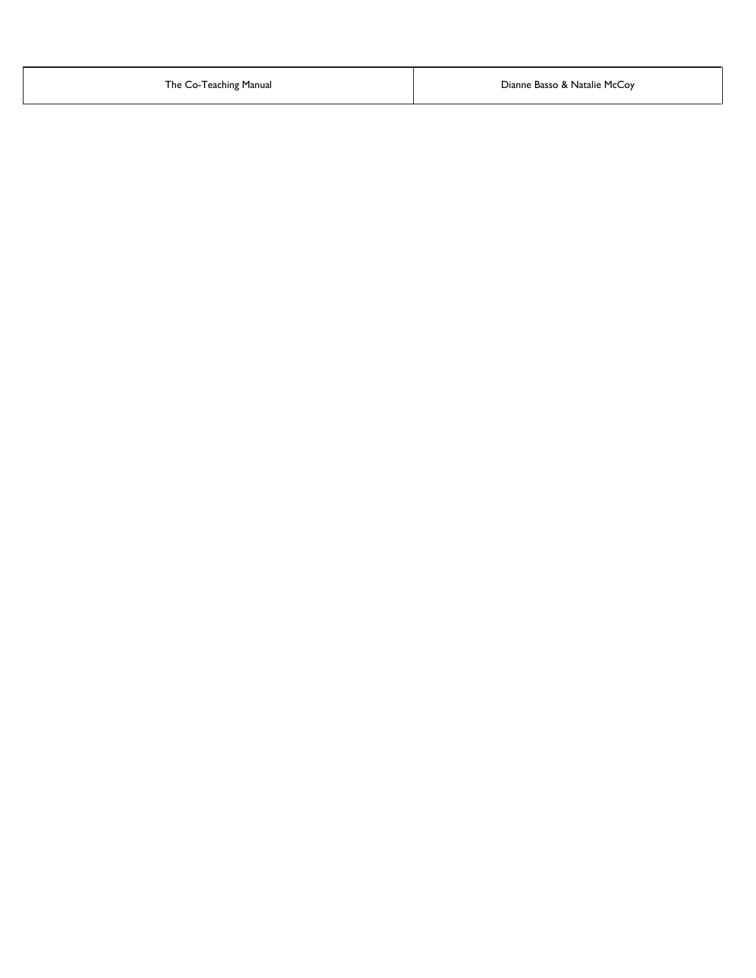| The Co-Teaching Manual |  |
|------------------------|--|
|------------------------|--|

Dianne Basso & Natalie McCoy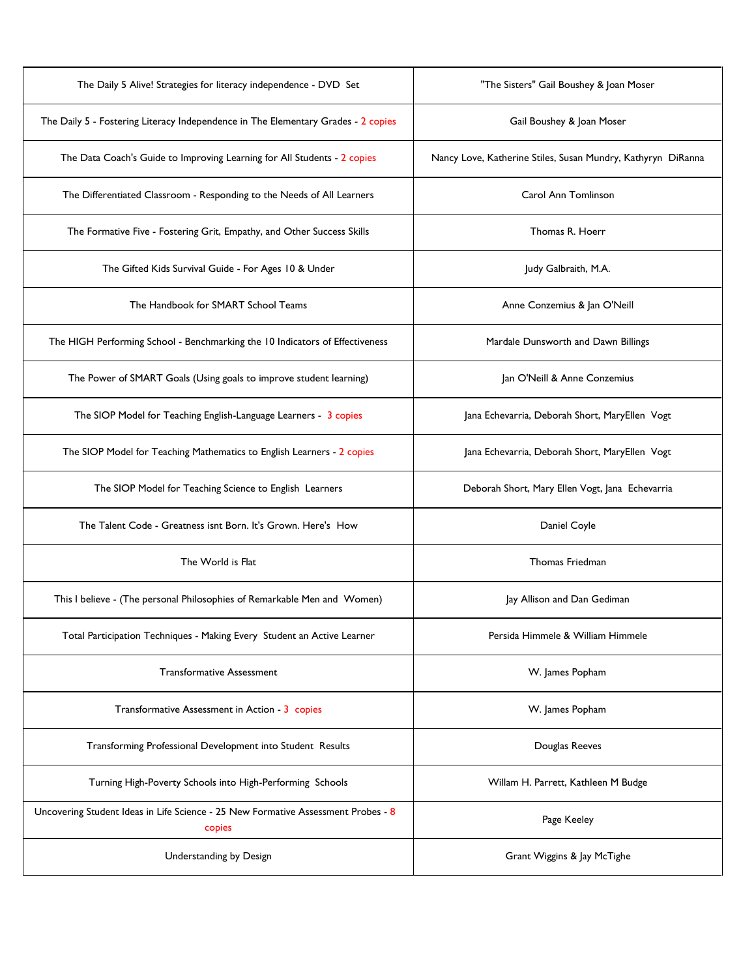| The Daily 5 Alive! Strategies for literacy independence - DVD Set                           | "The Sisters" Gail Boushey & Joan Moser                      |
|---------------------------------------------------------------------------------------------|--------------------------------------------------------------|
| The Daily 5 - Fostering Literacy Independence in The Elementary Grades - 2 copies           | Gail Boushey & Joan Moser                                    |
| The Data Coach's Guide to Improving Learning for All Students - 2 copies                    | Nancy Love, Katherine Stiles, Susan Mundry, Kathyryn DiRanna |
| The Differentiated Classroom - Responding to the Needs of All Learners                      | Carol Ann Tomlinson                                          |
| The Formative Five - Fostering Grit, Empathy, and Other Success Skills                      | Thomas R. Hoerr                                              |
| The Gifted Kids Survival Guide - For Ages 10 & Under                                        | Judy Galbraith, M.A.                                         |
| The Handbook for SMART School Teams                                                         | Anne Conzemius & Jan O'Neill                                 |
| The HIGH Performing School - Benchmarking the 10 Indicators of Effectiveness                | Mardale Dunsworth and Dawn Billings                          |
| The Power of SMART Goals (Using goals to improve student learning)                          | Jan O'Neill & Anne Conzemius                                 |
| The SIOP Model for Teaching English-Language Learners - 3 copies                            | Jana Echevarria, Deborah Short, MaryEllen Vogt               |
| The SIOP Model for Teaching Mathematics to English Learners - 2 copies                      | Jana Echevarria, Deborah Short, MaryEllen Vogt               |
| The SIOP Model for Teaching Science to English Learners                                     | Deborah Short, Mary Ellen Vogt, Jana Echevarria              |
| The Talent Code - Greatness isnt Born. It's Grown. Here's How                               | Daniel Coyle                                                 |
| The World is Flat                                                                           | <b>Thomas Friedman</b>                                       |
| This I believe - (The personal Philosophies of Remarkable Men and Women)                    | Jay Allison and Dan Gediman                                  |
| Total Participation Techniques - Making Every Student an Active Learner                     | Persida Himmele & William Himmele                            |
| <b>Transformative Assessment</b>                                                            | W. James Popham                                              |
| Transformative Assessment in Action - 3 copies                                              | W. James Popham                                              |
| Transforming Professional Development into Student Results                                  | Douglas Reeves                                               |
| Turning High-Poverty Schools into High-Performing Schools                                   | Willam H. Parrett, Kathleen M Budge                          |
| Uncovering Student Ideas in Life Science - 25 New Formative Assessment Probes - 8<br>copies | Page Keeley                                                  |
| Understanding by Design                                                                     | Grant Wiggins & Jay McTighe                                  |